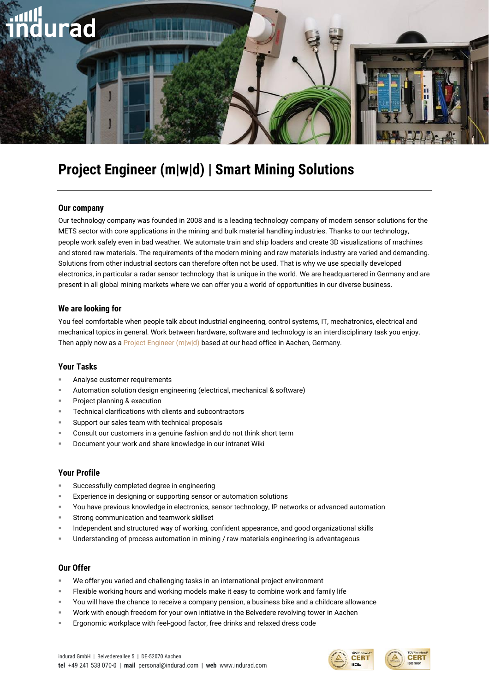

# **Project Engineer (m|w|d) | Smart Mining Solutions**

## **Our company**

Our technology company was founded in 2008 and is a leading technology company of modern sensor solutions for the METS sector with core applications in the mining and bulk material handling industries. Thanks to our technology, people work safely even in bad weather. We automate train and ship loaders and create 3D visualizations of machines and stored raw materials. The requirements of the modern mining and raw materials industry are varied and demanding. Solutions from other industrial sectors can therefore often not be used. That is why we use specially developed electronics, in particular a radar sensor technology that is unique in the world. We are headquartered in Germany and are present in all global mining markets where we can offer you a world of opportunities in our diverse business.

## **We are looking for**

You feel comfortable when people talk about industrial engineering, control systems, IT, mechatronics, electrical and mechanical topics in general. Work between hardware, software and technology is an interdisciplinary task you enjoy. Then apply now as a Project Engineer (m|w|d) based at our head office in Aachen, Germany.

## **Your Tasks**

- Analyse customer requirements
- Automation solution design engineering (electrical, mechanical & software)
- Project planning & execution
- Technical clarifications with clients and subcontractors
- Support our sales team with technical proposals
- Consult our customers in a genuine fashion and do not think short term
- Document your work and share knowledge in our intranet Wiki

## **Your Profile**

- Successfully completed degree in engineering
- Experience in designing or supporting sensor or automation solutions
- You have previous knowledge in electronics, sensor technology, IP networks or advanced automation
- Strong communication and teamwork skillset
- Independent and structured way of working, confident appearance, and good organizational skills
- Understanding of process automation in mining / raw materials engineering is advantageous

## **Our Offer**

- We offer you varied and challenging tasks in an international project environment
- Flexible working hours and working models make it easy to combine work and family life
- You will have the chance to receive a company pension, a business bike and a childcare allowance
- Work with enough freedom for your own initiative in the Belvedere revolving tower in Aachen
- Ergonomic workplace with feel-good factor, free drinks and relaxed dress code